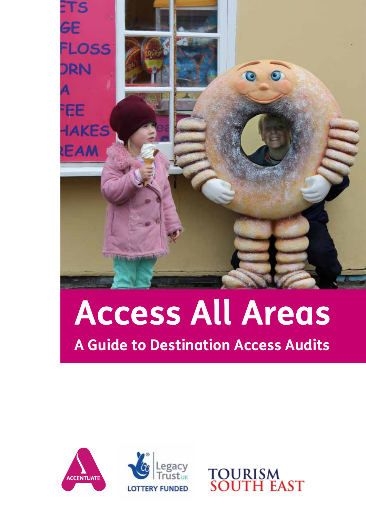

## **Access All Areas A Guide to Destination Access Audits**





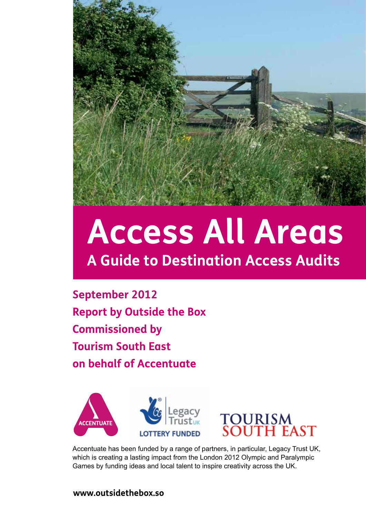

## **Access All Areas A Guide to Destination Access Audits**

**September 2012 Report by Outside the Box Commissioned by Tourism South East on behalf of Accentuate**





Accentuate has been funded by a range of partners, in particular, Legacy Trust UK, which is creating a lasting impact from the London 2012 Olympic and Paralympic Games by funding ideas and local talent to inspire creativity across the UK.

#### **www.outsidethebox.so**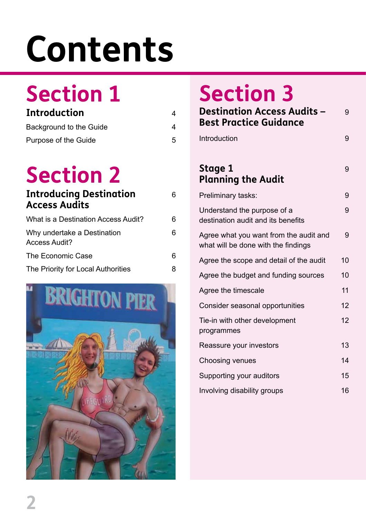## **Contents**

## **Section 1**

| Introduction            |   |
|-------------------------|---|
| Background to the Guide |   |
| Purpose of the Guide    | 5 |

## **Section 2**

| <b>Introducing Destination</b><br><b>Access Audits</b> | 6 |
|--------------------------------------------------------|---|
| What is a Destination Access Audit?                    | 6 |
| Why undertake a Destination<br><b>Access Audit?</b>    | 6 |
| The Economic Case                                      | 6 |
| The Priority for Local Authorities                     | 8 |
|                                                        |   |



## **Section 3**

| <b>Destination Access Audits -</b><br><b>Best Practice Guidance</b>           | 9  |
|-------------------------------------------------------------------------------|----|
| Introduction                                                                  | 9  |
| Stage 1<br><b>Planning the Audit</b>                                          | 9  |
| Preliminary tasks:                                                            | 9  |
| Understand the purpose of a<br>destination audit and its benefits             | 9  |
| Agree what you want from the audit and<br>what will be done with the findings | 9  |
| Agree the scope and detail of the audit                                       | 10 |
| Agree the budget and funding sources                                          | 10 |
| Agree the timescale                                                           | 11 |
| Consider seasonal opportunities                                               | 12 |
| Tie-in with other development<br>programmes                                   | 12 |
| Reassure your investors                                                       | 13 |
| Choosing venues                                                               | 14 |
| Supporting your auditors                                                      | 15 |
| Involving disability groups                                                   | 16 |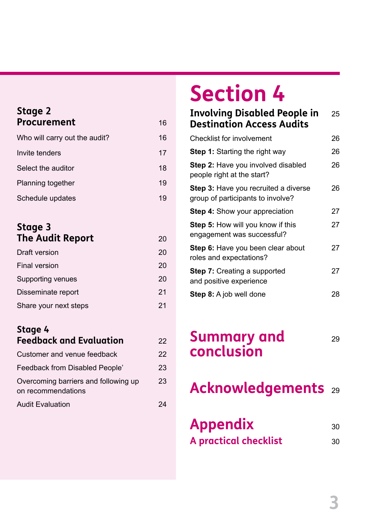#### **Stage 2 Procurement** 16

| Who will carry out the audit? | 16 |
|-------------------------------|----|
| Invite tenders                | 17 |
| Select the auditor            | 18 |
| Planning together             | 19 |
| Schedule updates              | 19 |

#### **Stage 3 The Audit Report** 20

| Draft version         | 20 |
|-----------------------|----|
| <b>Final version</b>  | 20 |
| Supporting venues     | 20 |
| Disseminate report    | 21 |
| Share your next steps | 21 |

#### **Stage 4 Feedback and Evaluation** 22

| T CCQDQCK QITQ CVQIQQIOII                                  |    |
|------------------------------------------------------------|----|
| Customer and venue feedback                                | 22 |
| Feedback from Disabled People'                             | 23 |
| Overcoming barriers and following up<br>on recommendations | 23 |
| <b>Audit Evaluation</b>                                    | 24 |

## **Section 4**

#### **Involving Disabled People in** 25 **Destination Access Audits**

| <b>Checklist for involvement</b>                                          | 26 |
|---------------------------------------------------------------------------|----|
| <b>Step 1:</b> Starting the right way                                     | 26 |
| <b>Step 2:</b> Have you involved disabled<br>people right at the start?   | 26 |
| Step 3: Have you recruited a diverse<br>group of participants to involve? | 26 |
| <b>Step 4:</b> Show your appreciation                                     | 27 |
| <b>Step 5:</b> How will you know if this<br>engagement was successful?    | 27 |
| <b>Step 6:</b> Have you been clear about<br>roles and expectations?       | 27 |
| <b>Step 7: Creating a supported</b><br>and positive experience            | 27 |
| <b>Step 8:</b> A job well done                                            | 28 |

### **Summary and** 29 **conclusion**

**Acknowledgements** <sup>29</sup>

| <b>Appendix</b>              | .30 |
|------------------------------|-----|
| <b>A</b> practical checklist | .30 |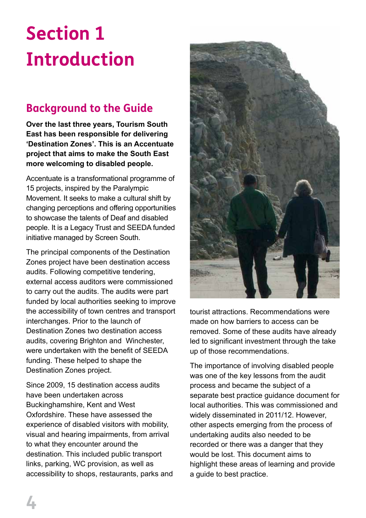## **Section 1 Introduction**

#### **Background to the Guide**

**Over the last three years, Tourism South East has been responsible for delivering 'Destination Zones'. This is an Accentuate project that aims to make the South East more welcoming to disabled people.** 

Accentuate is a transformational programme of 15 projects, inspired by the Paralympic Movement. It seeks to make a cultural shift by changing perceptions and offering opportunities to showcase the talents of Deaf and disabled people. It is a Legacy Trust and SEEDA funded initiative managed by Screen South.

The principal components of the Destination Zones project have been destination access audits. Following competitive tendering, external access auditors were commissioned to carry out the audits. The audits were part funded by local authorities seeking to improve the accessibility of town centres and transport interchanges. Prior to the launch of Destination Zones two destination access audits, covering Brighton and Winchester, were undertaken with the benefit of SEEDA funding. These helped to shape the Destination Zones project.

Since 2009, 15 destination access audits have been undertaken across Buckinghamshire, Kent and West Oxfordshire. These have assessed the experience of disabled visitors with mobility, visual and hearing impairments, from arrival to what they encounter around the destination. This included public transport links, parking, WC provision, as well as accessibility to shops, restaurants, parks and



tourist attractions. Recommendations were made on how barriers to access can be removed. Some of these audits have already led to significant investment through the take up of those recommendations.

The importance of involving disabled people was one of the key lessons from the audit process and became the subject of a separate best practice guidance document for local authorities. This was commissioned and widely disseminated in 2011/12. However, other aspects emerging from the process of undertaking audits also needed to be recorded or there was a danger that they would be lost. This document aims to highlight these areas of learning and provide a guide to best practice.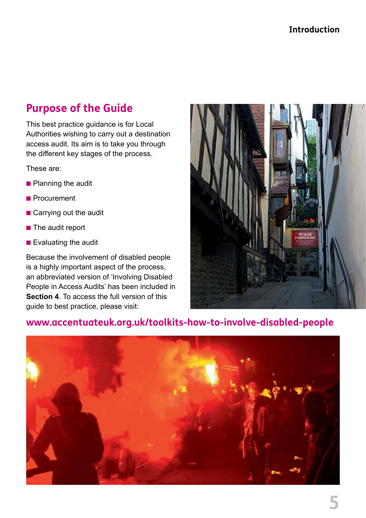#### **Introduction**

#### **Purpose of the Guide**

This best practice guidance is for Local Authorities wishing to carry out a destination access audit. Its aim is to take you through the different key stages of the process.

These are:

- **n** Planning the audit
- **n** Procurement
- $\blacksquare$  Carrying out the audit
- $\blacksquare$  The audit report
- $\blacksquare$  Evaluating the audit

Because the involvement of disabled people is a highly important aspect of the process, an abbreviated version of 'Involving Disabled People in Access Audits' has been included in **Section 4**. To access the full version of this guide to best practice, please visit:



#### **www.accentuateuk.org.uk/toolkits-how-to-involve-disabled-people**

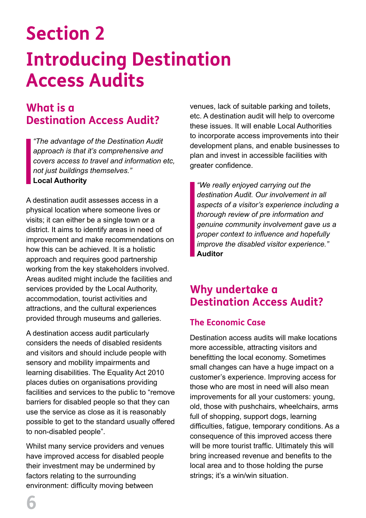## **Section 2 Introducing Destination Access Audits**

#### **What is a Destination Access Audit?**

*"The advantage of the Destination Audit approach is that it's comprehensive and covers access to travel and information etc, not just buildings themselves."* **Local Authority**

A destination audit assesses access in a physical location where someone lives or visits; it can either be a single town or a district. It aims to identify areas in need of improvement and make recommendations on how this can be achieved. It is a holistic approach and requires good partnership working from the key stakeholders involved. Areas audited might include the facilities and services provided by the Local Authority, accommodation, tourist activities and attractions, and the cultural experiences provided through museums and galleries.

A destination access audit particularly considers the needs of disabled residents and visitors and should include people with sensory and mobility impairments and learning disabilities. The Equality Act 2010 places duties on organisations providing facilities and services to the public to "remove barriers for disabled people so that they can use the service as close as it is reasonably possible to get to the standard usually offered to non-disabled people".

Whilst many service providers and venues have improved access for disabled people their investment may be undermined by factors relating to the surrounding environment: difficulty moving between

venues, lack of suitable parking and toilets, etc. A destination audit will help to overcome these issues. It will enable Local Authorities to incorporate access improvements into their development plans, and enable businesses to plan and invest in accessible facilities with greater confidence.

*"We really enjoyed carrying out the destination Audit. Our involvement in all aspects of a visitor's experience including a thorough review of pre information and genuine community involvement gave us a proper context to influence and hopefully improve the disabled visitor experience."* **Auditor**

#### **Why undertake a Destination Access Audit?**

#### **The Economic Case**

Destination access audits will make locations more accessible, attracting visitors and benefitting the local economy. Sometimes small changes can have a huge impact on a customer's experience. Improving access for those who are most in need will also mean improvements for all your customers: young, old, those with pushchairs, wheelchairs, arms full of shopping, support dogs, learning difficulties, fatigue, temporary conditions. As a consequence of this improved access there will be more tourist traffic. Ultimately this will bring increased revenue and benefits to the local area and to those holding the purse strings; it's a win/win situation.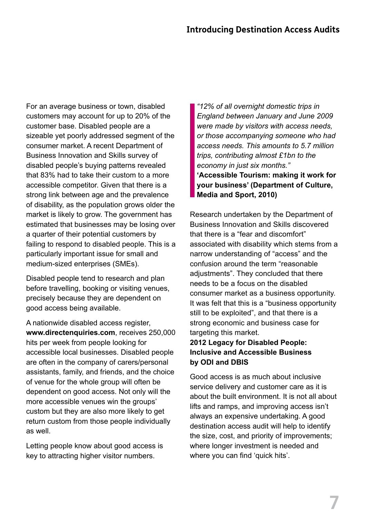For an average business or town, disabled customers may account for up to 20% of the customer base. Disabled people are a sizeable yet poorly addressed segment of the consumer market. A recent Department of Business Innovation and Skills survey of disabled people's buying patterns revealed that 83% had to take their custom to a more accessible competitor. Given that there is a strong link between age and the prevalence of disability, as the population grows older the market is likely to grow. The government has estimated that businesses may be losing over a quarter of their potential customers by failing to respond to disabled people. This is a particularly important issue for small and medium-sized enterprises (SMEs).

Disabled people tend to research and plan before travelling, booking or visiting venues, precisely because they are dependent on good access being available.

A nationwide disabled access register, **www.directenquiries.com**, receives 250,000 hits per week from people looking for accessible local businesses. Disabled people are often in the company of carers/personal assistants, family, and friends, and the choice of venue for the whole group will often be dependent on good access. Not only will the more accessible venues win the groups' custom but they are also more likely to get return custom from those people individually as well.

Letting people know about good access is key to attracting higher visitor numbers.

*"12% of all overnight domestic trips in England between January and June 2009 were made by visitors with access needs, or those accompanying someone who had access needs. This amounts to 5.7 million trips, contributing almost £1bn to the economy in just six months."* **'Accessible Tourism: making it work for your business' (Department of Culture, Media and Sport, 2010)** 

Research undertaken by the Department of Business Innovation and Skills discovered that there is a "fear and discomfort" associated with disability which stems from a narrow understanding of "access" and the confusion around the term "reasonable adjustments". They concluded that there needs to be a focus on the disabled consumer market as a business opportunity. It was felt that this is a "business opportunity still to be exploited", and that there is a strong economic and business case for targeting this market.

#### **2012 Legacy for Disabled People: Inclusive and Accessible Business by ODI and DBIS**

Good access is as much about inclusive service delivery and customer care as it is about the built environment. It is not all about lifts and ramps, and improving access isn't always an expensive undertaking. A good destination access audit will help to identify the size, cost, and priority of improvements; where longer investment is needed and where you can find 'quick hits'.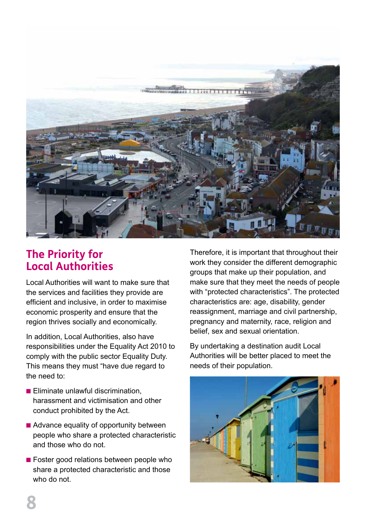

#### **The Priority for Local Authorities**

Local Authorities will want to make sure that the services and facilities they provide are efficient and inclusive, in order to maximise economic prosperity and ensure that the region thrives socially and economically.

In addition, Local Authorities, also have responsibilities under the Equality Act 2010 to comply with the public sector Equality Duty. This means they must "have due regard to the need to:

- $\blacksquare$  Eliminate unlawful discrimination, harassment and victimisation and other conduct prohibited by the Act.
- **n** Advance equality of opportunity between people who share a protected characteristic and those who do not.
- $\blacksquare$  Foster good relations between people who share a protected characteristic and those who do not.

Therefore, it is important that throughout their work they consider the different demographic groups that make up their population, and make sure that they meet the needs of people with "protected characteristics". The protected characteristics are: age, disability, gender reassignment, marriage and civil partnership, pregnancy and maternity, race, religion and belief, sex and sexual orientation.

By undertaking a destination audit Local Authorities will be better placed to meet the needs of their population.

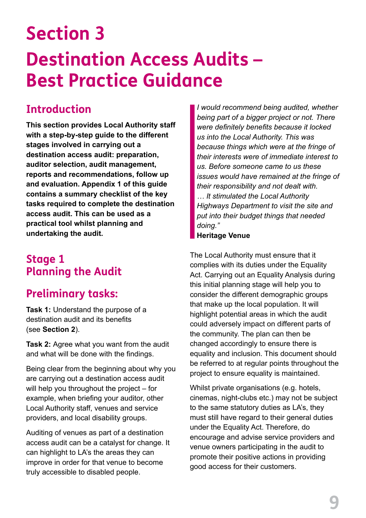## **Section 3 Destination Access Audits – Best Practice Guidance**

#### **Introduction**

**This section provides Local Authority staff with a step-by-step guide to the different stages involved in carrying out a destination access audit: preparation, auditor selection, audit management, reports and recommendations, follow up and evaluation. Appendix 1 of this guide contains a summary checklist of the key tasks required to complete the destination access audit. This can be used as a practical tool whilst planning and undertaking the audit.**

#### **Stage 1 Planning the Audit**

#### **Preliminary tasks:**

**Task 1:** Understand the purpose of a destination audit and its benefits (see **Section 2**).

**Task 2:** Agree what you want from the audit and what will be done with the findings.

Being clear from the beginning about why you are carrying out a destination access audit will help you throughout the project – for example, when briefing your auditor, other Local Authority staff, venues and service providers, and local disability groups.

Auditing of venues as part of a destination access audit can be a catalyst for change. It can highlight to LA's the areas they can improve in order for that venue to become truly accessible to disabled people.

*I would recommend being audited, whether being part of a bigger project or not. There were definitely benefits because it locked us into the Local Authority. This was because things which were at the fringe of their interests were of immediate interest to us. Before someone came to us these issues would have remained at the fringe of their responsibility and not dealt with. … It stimulated the Local Authority Highways Department to visit the site and put into their budget things that needed doing."*

#### **Heritage Venue**

The Local Authority must ensure that it complies with its duties under the Equality Act. Carrying out an Equality Analysis during this initial planning stage will help you to consider the different demographic groups that make up the local population. It will highlight potential areas in which the audit could adversely impact on different parts of the community. The plan can then be changed accordingly to ensure there is equality and inclusion. This document should be referred to at regular points throughout the project to ensure equality is maintained.

Whilst private organisations (e.g. hotels, cinemas, night-clubs etc.) may not be subject to the same statutory duties as LA's, they must still have regard to their general duties under the Equality Act. Therefore, do encourage and advise service providers and venue owners participating in the audit to promote their positive actions in providing good access for their customers.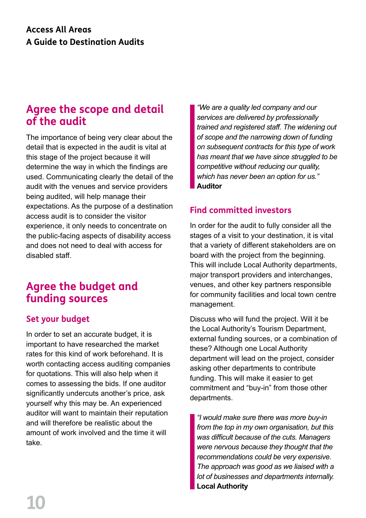#### **Agree the scope and detail of the audit**

The importance of being very clear about the detail that is expected in the audit is vital at this stage of the project because it will determine the way in which the findings are used. Communicating clearly the detail of the audit with the venues and service providers being audited, will help manage their expectations. As the purpose of a destination access audit is to consider the visitor experience, it only needs to concentrate on the public-facing aspects of disability access and does not need to deal with access for disabled staff.

#### **Agree the budget and funding sources**

#### **Set your budget**

In order to set an accurate budget, it is important to have researched the market rates for this kind of work beforehand. It is worth contacting access auditing companies for quotations. This will also help when it comes to assessing the bids. If one auditor significantly undercuts another's price, ask yourself why this may be. An experienced auditor will want to maintain their reputation and will therefore be realistic about the amount of work involved and the time it will take.

*"We are a quality led company and our services are delivered by professionally trained and registered staff. The widening out of scope and the narrowing down of funding on subsequent contracts for this type of work has meant that we have since struggled to be competitive without reducing our quality, which has never been an option for us."* **Auditor**

#### **Find committed investors**

In order for the audit to fully consider all the stages of a visit to your destination, it is vital that a variety of different stakeholders are on board with the project from the beginning. This will include Local Authority departments, major transport providers and interchanges, venues, and other key partners responsible for community facilities and local town centre management.

Discuss who will fund the project. Will it be the Local Authority's Tourism Department, external funding sources, or a combination of these? Although one Local Authority department will lead on the project, consider asking other departments to contribute funding. This will make it easier to get commitment and "buy-in" from those other departments.

*"I would make sure there was more buy-in from the top in my own organisation, but this was difficult because of the cuts. Managers were nervous because they thought that the recommendations could be very expensive. The approach was good as we liaised with a lot of businesses and departments internally.* **Local Authority**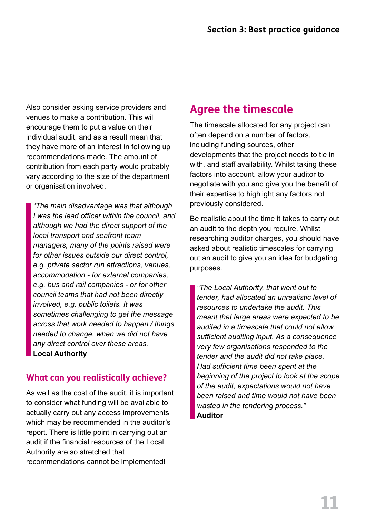Also consider asking service providers and venues to make a contribution. This will encourage them to put a value on their individual audit, and as a result mean that they have more of an interest in following up recommendations made. The amount of contribution from each party would probably vary according to the size of the department or organisation involved.

*"The main disadvantage was that although I was the lead officer within the council, and although we had the direct support of the local transport and seafront team managers, many of the points raised were for other issues outside our direct control, e.g. private sector run attractions, venues, accommodation - for external companies, e.g. bus and rail companies - or for other council teams that had not been directly involved, e.g. public toilets. It was sometimes challenging to get the message across that work needed to happen / things needed to change, when we did not have any direct control over these areas.* **Local Authority**

#### **What can you realistically achieve?**

As well as the cost of the audit, it is important to consider what funding will be available to actually carry out any access improvements which may be recommended in the auditor's report. There is little point in carrying out an audit if the financial resources of the Local Authority are so stretched that recommendations cannot be implemented!

#### **Agree the timescale**

The timescale allocated for any project can often depend on a number of factors, including funding sources, other developments that the project needs to tie in with, and staff availability. Whilst taking these factors into account, allow your auditor to negotiate with you and give you the benefit of their expertise to highlight any factors not previously considered.

Be realistic about the time it takes to carry out an audit to the depth you require. Whilst researching auditor charges, you should have asked about realistic timescales for carrying out an audit to give you an idea for budgeting purposes.

*"The Local Authority, that went out to tender, had allocated an unrealistic level of resources to undertake the audit. This meant that large areas were expected to be audited in a timescale that could not allow sufficient auditing input. As a consequence very few organisations responded to the tender and the audit did not take place. Had sufficient time been spent at the beginning of the project to look at the scope of the audit, expectations would not have been raised and time would not have been wasted in the tendering process."*  **Auditor**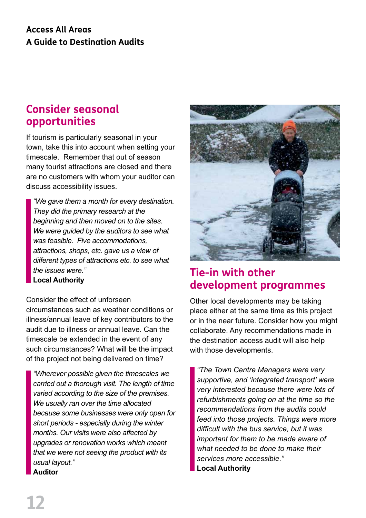#### **Access All Areas A Guide to Destination Audits**

#### **Consider seasonal opportunities**

If tourism is particularly seasonal in your town, take this into account when setting your timescale. Remember that out of season many tourist attractions are closed and there are no customers with whom your auditor can discuss accessibility issues.

*"We gave them a month for every destination. They did the primary research at the beginning and then moved on to the sites. We were guided by the auditors to see what was feasible. Five accommodations, attractions, shops, etc. gave us a view of different types of attractions etc. to see what the issues were."* **Local Authority**

Consider the effect of unforseen

circumstances such as weather conditions or illness/annual leave of key contributors to the audit due to illness or annual leave. Can the timescale be extended in the event of any such circumstances? What will be the impact of the project not being delivered on time?

*"Wherever possible given the timescales we carried out a thorough visit. The length of time varied according to the size of the premises. We usually ran over the time allocated because some businesses were only open for short periods - especially during the winter months. Our visits were also affected by upgrades or renovation works which meant that we were not seeing the product with its usual layout."* **Auditor**



#### **Tie-in with other development programmes**

Other local developments may be taking place either at the same time as this project or in the near future. Consider how you might collaborate. Any recommendations made in the destination access audit will also help with those developments.

*"The Town Centre Managers were very supportive, and 'integrated transport' were very interested because there were lots of refurbishments going on at the time so the recommendations from the audits could feed into those projects. Things were more difficult with the bus service, but it was important for them to be made aware of what needed to be done to make their services more accessible."* **Local Authority**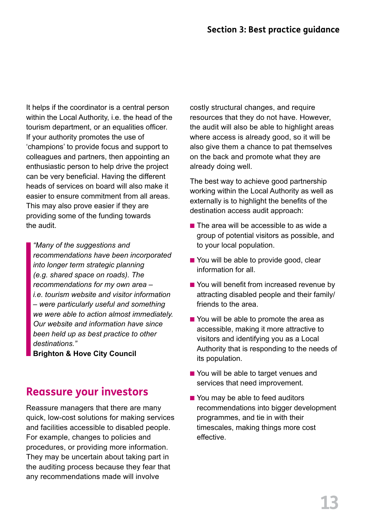It helps if the coordinator is a central person within the Local Authority, i.e. the head of the tourism department, or an equalities officer. If your authority promotes the use of 'champions' to provide focus and support to colleagues and partners, then appointing an enthusiastic person to help drive the project can be very beneficial. Having the different heads of services on board will also make it easier to ensure commitment from all areas. This may also prove easier if they are providing some of the funding towards the audit.

*"Many of the suggestions and recommendations have been incorporated into longer term strategic planning (e.g. shared space on roads). The recommendations for my own area – i.e. tourism website and visitor information – were particularly useful and something we were able to action almost immediately. Our website and information have since been held up as best practice to other destinations."* 

**Brighton & Hove City Council**

#### **Reassure your investors**

Reassure managers that there are many quick, low-cost solutions for making services and facilities accessible to disabled people. For example, changes to policies and procedures, or providing more information. They may be uncertain about taking part in the auditing process because they fear that any recommendations made will involve

costly structural changes, and require resources that they do not have. However, the audit will also be able to highlight areas where access is already good, so it will be also give them a chance to pat themselves on the back and promote what they are already doing well.

The best way to achieve good partnership working within the Local Authority as well as externally is to highlight the benefits of the destination access audit approach:

- $\blacksquare$  The area will be accessible to as wide a group of potential visitors as possible, and to your local population.
- You will be able to provide good, clear information for all.
- You will benefit from increased revenue by attracting disabled people and their family/ friends to the area.
- $\blacksquare$  You will be able to promote the area as accessible, making it more attractive to visitors and identifying you as a Local Authority that is responding to the needs of its population.
- You will be able to target venues and services that need improvement.
- $\blacksquare$  You may be able to feed auditors recommendations into bigger development programmes, and tie in with their timescales, making things more cost effective.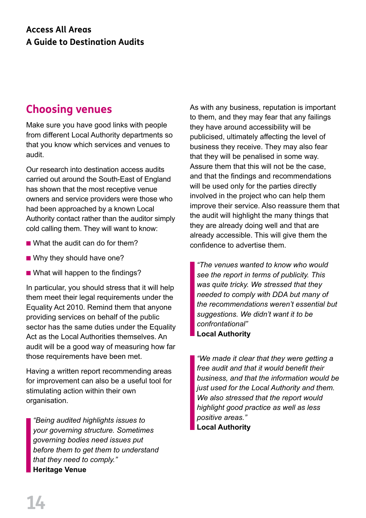#### **Choosing venues**

Make sure you have good links with people from different Local Authority departments so that you know which services and venues to audit.

Our research into destination access audits carried out around the South-East of England has shown that the most receptive venue owners and service providers were those who had been approached by a known Local Authority contact rather than the auditor simply cold calling them. They will want to know:

- $\blacksquare$  What the audit can do for them?
- $\blacksquare$  Why they should have one?
- $\blacksquare$  What will happen to the findings?

In particular, you should stress that it will help them meet their legal requirements under the Equality Act 2010. Remind them that anyone providing services on behalf of the public sector has the same duties under the Equality Act as the Local Authorities themselves. An audit will be a good way of measuring how far those requirements have been met.

Having a written report recommending areas for improvement can also be a useful tool for stimulating action within their own organisation.

*"Being audited highlights issues to your governing structure. Sometimes governing bodies need issues put before them to get them to understand that they need to comply."* **Heritage Venue**

As with any business, reputation is important to them, and they may fear that any failings they have around accessibility will be publicised, ultimately affecting the level of business they receive. They may also fear that they will be penalised in some way. Assure them that this will not be the case, and that the findings and recommendations will be used only for the parties directly involved in the project who can help them improve their service. Also reassure them that the audit will highlight the many things that they are already doing well and that are already accessible. This will give them the confidence to advertise them.

*"The venues wanted to know who would see the report in terms of publicity. This was quite tricky. We stressed that they needed to comply with DDA but many of the recommendations weren't essential but suggestions. We didn't want it to be confrontational"* **Local Authority**

*"We made it clear that they were getting a free audit and that it would benefit their business, and that the information would be just used for the Local Authority and them. We also stressed that the report would highlight good practice as well as less positive areas."* **Local Authority**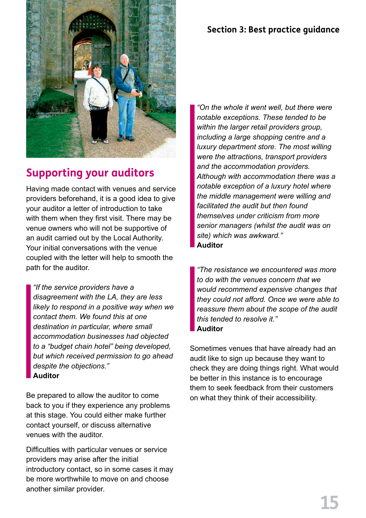#### **Section 3: Best practice guidance**



#### **Supporting your auditors**

Having made contact with venues and service providers beforehand, it is a good idea to give your auditor a letter of introduction to take with them when they first visit. There may be venue owners who will not be supportive of an audit carried out by the Local Authority. Your initial conversations with the venue coupled with the letter will help to smooth the path for the auditor.

*"If the service providers have a disagreement with the LA, they are less likely to respond in a positive way when we contact them. We found this at one destination in particular, where small accommodation businesses had objected to a "budget chain hotel" being developed, but which received permission to go ahead despite the objections."* **Auditor**

Be prepared to allow the auditor to come back to you if they experience any problems at this stage. You could either make further contact yourself, or discuss alternative venues with the auditor.

Difficulties with particular venues or service providers may arise after the initial introductory contact, so in some cases it may be more worthwhile to move on and choose another similar provider.

*"On the whole it went well, but there were notable exceptions. These tended to be within the larger retail providers group, including a large shopping centre and a luxury department store. The most willing were the attractions, transport providers and the accommodation providers. Although with accommodation there was a notable exception of a luxury hotel where the middle management were willing and facilitated the audit but then found themselves under criticism from more senior managers (whilst the audit was on site) which was awkward."* **Auditor**

*"The resistance we encountered was more to do with the venues concern that we would recommend expensive changes that they could not afford. Once we were able to reassure them about the scope of the audit this tended to resolve it."* **Auditor**

Sometimes venues that have already had an audit like to sign up because they want to check they are doing things right. What would be better in this instance is to encourage them to seek feedback from their customers on what they think of their accessibility.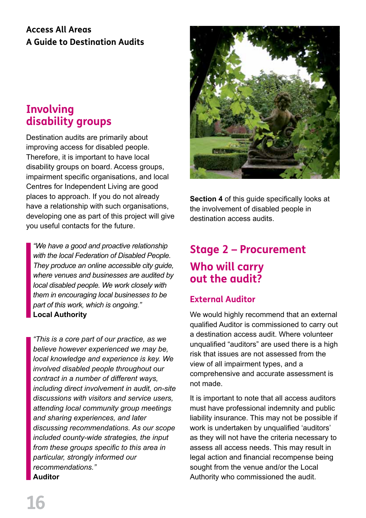#### **Access All Areas A Guide to Destination Audits**

#### **Involving disability groups**

Destination audits are primarily about improving access for disabled people. Therefore, it is important to have local disability groups on board. Access groups, impairment specific organisations, and local Centres for Independent Living are good places to approach. If you do not already have a relationship with such organisations, developing one as part of this project will give you useful contacts for the future.

*"We have a good and proactive relationship with the local Federation of Disabled People. They produce an online accessible city guide, where venues and businesses are audited by local disabled people. We work closely with them in encouraging local businesses to be part of this work, which is ongoing."* **Local Authority**

*"This is a core part of our practice, as we believe however experienced we may be, local knowledge and experience is key. We involved disabled people throughout our contract in a number of different ways, including direct involvement in audit, on-site discussions with visitors and service users, attending local community group meetings and sharing experiences, and later discussing recommendations. As our scope included county-wide strategies, the input from these groups specific to this area in particular, strongly informed our recommendations."*  **Auditor**



**Section 4** of this guide specifically looks at the involvement of disabled people in destination access audits.

#### **Stage 2 – Procurement Who will carry out the audit?**

#### **External Auditor**

We would highly recommend that an external qualified Auditor is commissioned to carry out a destination access audit. Where volunteer unqualified "auditors" are used there is a high risk that issues are not assessed from the view of all impairment types, and a comprehensive and accurate assessment is not made.

It is important to note that all access auditors must have professional indemnity and public liability insurance. This may not be possible if work is undertaken by unqualified 'auditors' as they will not have the criteria necessary to assess all access needs. This may result in legal action and financial recompense being sought from the venue and/or the Local Authority who commissioned the audit.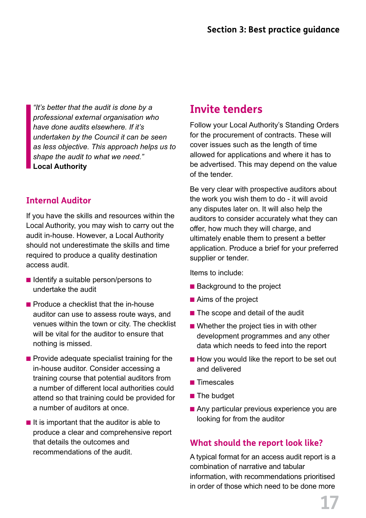*"It's better that the audit is done by a professional external organisation who have done audits elsewhere. If it's undertaken by the Council it can be seen as less objective. This approach helps us to shape the audit to what we need."* **Local Authority**

#### **Internal Auditor**

If you have the skills and resources within the Local Authority, you may wish to carry out the audit in-house. However, a Local Authority should not underestimate the skills and time required to produce a quality destination access audit.

- $\blacksquare$  Identify a suitable person/persons to undertake the audit
- $\blacksquare$  Produce a checklist that the in-house auditor can use to assess route ways, and venues within the town or city. The checklist will be vital for the auditor to ensure that nothing is missed.
- $\blacksquare$  Provide adequate specialist training for the in-house auditor. Consider accessing a training course that potential auditors from a number of different local authorities could attend so that training could be provided for a number of auditors at once.
- $\blacksquare$  It is important that the auditor is able to produce a clear and comprehensive report that details the outcomes and recommendations of the audit.

#### **Invite tenders**

Follow your Local Authority's Standing Orders for the procurement of contracts. These will cover issues such as the length of time allowed for applications and where it has to be advertised. This may depend on the value of the tender.

Be very clear with prospective auditors about the work you wish them to do - it will avoid any disputes later on. It will also help the auditors to consider accurately what they can offer, how much they will charge, and ultimately enable them to present a better application. Produce a brief for your preferred supplier or tender.

Items to include:

- $\blacksquare$  Background to the project
- $\blacksquare$  Aims of the project
- $\blacksquare$  The scope and detail of the audit
- $\blacksquare$  Whether the project ties in with other development programmes and any other data which needs to feed into the report
- $\blacksquare$  How you would like the report to be set out and delivered
- $\blacksquare$  Timescales
- $\blacksquare$  The budget
- $\blacksquare$  Any particular previous experience you are looking for from the auditor

#### **What should the report look like?**

A typical format for an access audit report is a combination of narrative and tabular information, with recommendations prioritised in order of those which need to be done more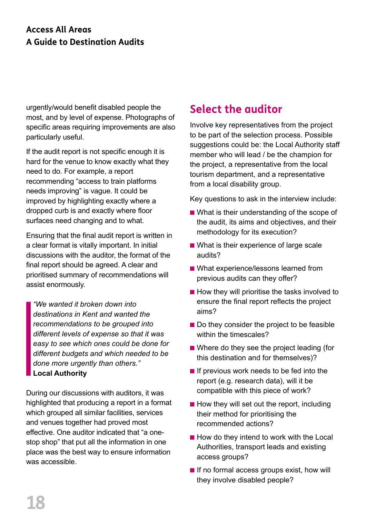#### **Access All Areas A Guide to Destination Audits**

urgently/would benefit disabled people the most, and by level of expense. Photographs of specific areas requiring improvements are also particularly useful.

If the audit report is not specific enough it is hard for the venue to know exactly what they need to do. For example, a report recommending "access to train platforms needs improving" is vague. It could be improved by highlighting exactly where a dropped curb is and exactly where floor surfaces need changing and to what.

Ensuring that the final audit report is written in a clear format is vitally important. In initial discussions with the auditor, the format of the final report should be agreed. A clear and prioritised summary of recommendations will assist enormously.

*"We wanted it broken down into destinations in Kent and wanted the recommendations to be grouped into different levels of expense so that it was easy to see which ones could be done for different budgets and which needed to be done more urgently than others."* **Local Authority**

During our discussions with auditors, it was highlighted that producing a report in a format which grouped all similar facilities, services and venues together had proved most effective. One auditor indicated that "a onestop shop" that put all the information in one place was the best way to ensure information was accessible.

#### **Select the auditor**

Involve key representatives from the project to be part of the selection process. Possible suggestions could be: the Local Authority staff member who will lead / be the champion for the project, a representative from the local tourism department, and a representative from a local disability group.

Key questions to ask in the interview include:

- $\blacksquare$  What is their understanding of the scope of the audit, its aims and objectives, and their methodology for its execution?
- $\blacksquare$  What is their experience of large scale audits?
- What experience/lessons learned from previous audits can they offer?
- $\blacksquare$  How they will prioritise the tasks involved to ensure the final report reflects the project aims?
- $\blacksquare$  Do they consider the project to be feasible within the timescales?
- $\blacksquare$  Where do they see the project leading (for this destination and for themselves)?
- $\blacksquare$  If previous work needs to be fed into the report (e.g. research data), will it be compatible with this piece of work?
- $\blacksquare$  How they will set out the report, including their method for prioritising the recommended actions?
- $\blacksquare$  How do they intend to work with the Local Authorities, transport leads and existing access groups?
- $\blacksquare$  If no formal access groups exist, how will they involve disabled people?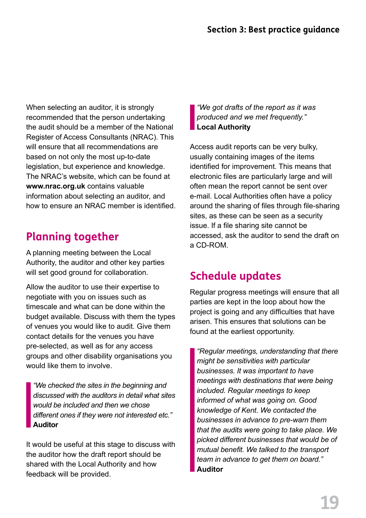When selecting an auditor, it is strongly recommended that the person undertaking the audit should be a member of the National Register of Access Consultants (NRAC). This will ensure that all recommendations are based on not only the most up-to-date legislation, but experience and knowledge. The NRAC's website, which can be found at **www.nrac.org.uk** contains valuable information about selecting an auditor, and how to ensure an NRAC member is identified.

#### **Planning together**

A planning meeting between the Local Authority, the auditor and other key parties will set good ground for collaboration.

Allow the auditor to use their expertise to negotiate with you on issues such as timescale and what can be done within the budget available. Discuss with them the types of venues you would like to audit. Give them contact details for the venues you have pre-selected, as well as for any access groups and other disability organisations you would like them to involve.

*"We checked the sites in the beginning and discussed with the auditors in detail what sites would be included and then we chose different ones if they were not interested etc."* **Auditor**

It would be useful at this stage to discuss with the auditor how the draft report should be shared with the Local Authority and how feedback will be provided.

*"We got drafts of the report as it was produced and we met frequently."*  **Local Authority** 

Access audit reports can be very bulky, usually containing images of the items identified for improvement. This means that electronic files are particularly large and will often mean the report cannot be sent over e-mail. Local Authorities often have a policy around the sharing of files through file-sharing sites, as these can be seen as a security issue. If a file sharing site cannot be accessed, ask the auditor to send the draft on a CD-ROM.

#### **Schedule updates**

Regular progress meetings will ensure that all parties are kept in the loop about how the project is going and any difficulties that have arisen. This ensures that solutions can be found at the earliest opportunity.

*"Regular meetings, understanding that there might be sensitivities with particular businesses. It was important to have meetings with destinations that were being included. Regular meetings to keep informed of what was going on. Good knowledge of Kent. We contacted the businesses in advance to pre-warn them that the audits were going to take place. We picked different businesses that would be of mutual benefit. We talked to the transport team in advance to get them on board."* **Auditor**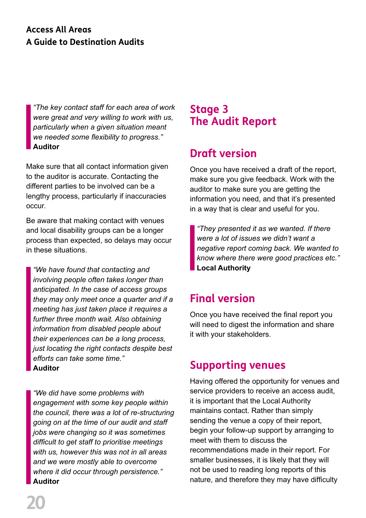#### **Access All Areas A Guide to Destination Audits**

*"The key contact staff for each area of work were great and very willing to work with us, particularly when a given situation meant we needed some flexibility to progress."* **Auditor**

Make sure that all contact information given to the auditor is accurate. Contacting the different parties to be involved can be a lengthy process, particularly if inaccuracies occur.

Be aware that making contact with venues and local disability groups can be a longer process than expected, so delays may occur in these situations.

*"We have found that contacting and involving people often takes longer than anticipated. In the case of access groups they may only meet once a quarter and if a meeting has just taken place it requires a further three month wait. Also obtaining information from disabled people about their experiences can be a long process, just locating the right contacts despite best efforts can take some time."* **Auditor**

*"We did have some problems with engagement with some key people within the council, there was a lot of re-structuring going on at the time of our audit and staff jobs were changing so it was sometimes difficult to get staff to prioritise meetings with us, however this was not in all areas and we were mostly able to overcome where it did occur through persistence."* **Auditor**

#### **Stage 3 The Audit Report**

#### **Draft version**

Once you have received a draft of the report, make sure you give feedback. Work with the auditor to make sure you are getting the information you need, and that it's presented in a way that is clear and useful for you.

*"They presented it as we wanted. If there were a lot of issues we didn't want a negative report coming back. We wanted to know where there were good practices etc."*  **Local Authority** 

#### **Final version**

Once you have received the final report you will need to digest the information and share it with your stakeholders.

#### **Supporting venues**

Having offered the opportunity for venues and service providers to receive an access audit, it is important that the Local Authority maintains contact. Rather than simply sending the venue a copy of their report, begin your follow-up support by arranging to meet with them to discuss the recommendations made in their report. For smaller businesses, it is likely that they will not be used to reading long reports of this nature, and therefore they may have difficulty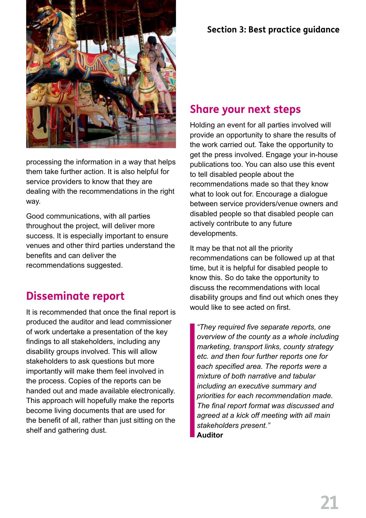

processing the information in a way that helps them take further action. It is also helpful for service providers to know that they are dealing with the recommendations in the right way.

Good communications, with all parties throughout the project, will deliver more success. It is especially important to ensure venues and other third parties understand the benefits and can deliver the recommendations suggested.

#### **Disseminate report**

It is recommended that once the final report is produced the auditor and lead commissioner of work undertake a presentation of the key findings to all stakeholders, including any disability groups involved. This will allow stakeholders to ask questions but more importantly will make them feel involved in the process. Copies of the reports can be handed out and made available electronically. This approach will hopefully make the reports become living documents that are used for the benefit of all, rather than just sitting on the shelf and gathering dust.

#### **Section 3: Best practice guidance**

#### **Share your next steps**

Holding an event for all parties involved will provide an opportunity to share the results of the work carried out. Take the opportunity to get the press involved. Engage your in-house publications too. You can also use this event to tell disabled people about the recommendations made so that they know what to look out for. Encourage a dialogue between service providers/venue owners and disabled people so that disabled people can actively contribute to any future developments.

It may be that not all the priority recommendations can be followed up at that time, but it is helpful for disabled people to know this. So do take the opportunity to discuss the recommendations with local disability groups and find out which ones they would like to see acted on first.

*"They required five separate reports, one overview of the county as a whole including marketing, transport links, county strategy etc. and then four further reports one for each specified area. The reports were a mixture of both narrative and tabular including an executive summary and priorities for each recommendation made. The final report format was discussed and agreed at a kick off meeting with all main stakeholders present."* **Auditor**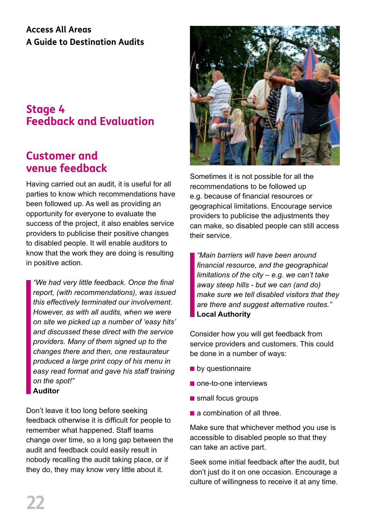#### **Access All Areas A Guide to Destination Audits**

#### **Stage 4 Feedback and Evaluation**

#### **Customer and venue feedback**

Having carried out an audit, it is useful for all parties to know which recommendations have been followed up. As well as providing an opportunity for everyone to evaluate the success of the project, it also enables service providers to publicise their positive changes to disabled people. It will enable auditors to know that the work they are doing is resulting in positive action.

*"We had very little feedback. Once the final report, (with recommendations), was issued this effectively terminated our involvement. However, as with all audits, when we were on site we picked up a number of 'easy hits' and discussed these direct with the service providers. Many of them signed up to the changes there and then, one restaurateur produced a large print copy of his menu in easy read format and gave his staff training on the spot!"* **Auditor**

Don't leave it too long before seeking feedback otherwise it is difficult for people to remember what happened. Staff teams change over time, so a long gap between the audit and feedback could easily result in nobody recalling the audit taking place, or if they do, they may know very little about it.



Sometimes it is not possible for all the recommendations to be followed up e.g. because of financial resources or geographical limitations. Encourage service providers to publicise the adjustments they can make, so disabled people can still access their service.

*"Main barriers will have been around financial resource, and the geographical limitations of the city – e.g. we can't take away steep hills - but we can (and do) make sure we tell disabled visitors that they are there and suggest alternative routes."* **Local Authority**

Consider how you will get feedback from service providers and customers. This could be done in a number of ways:

- $\blacksquare$  by questionnaire
- $\blacksquare$  one-to-one interviews
- **n** small focus groups
- $\blacksquare$  a combination of all three.

Make sure that whichever method you use is accessible to disabled people so that they can take an active part.

Seek some initial feedback after the audit, but don't just do it on one occasion. Encourage a culture of willingness to receive it at any time.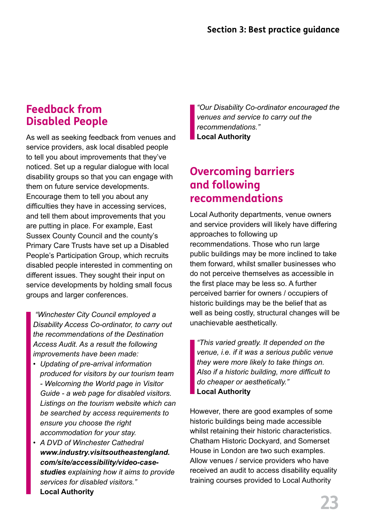#### **Feedback from Disabled People**

As well as seeking feedback from venues and service providers, ask local disabled people to tell you about improvements that they've noticed. Set up a regular dialogue with local disability groups so that you can engage with them on future service developments. Encourage them to tell you about any difficulties they have in accessing services, and tell them about improvements that you are putting in place. For example, East Sussex County Council and the county's Primary Care Trusts have set up a Disabled People's Participation Group, which recruits disabled people interested in commenting on different issues. They sought their input on service developments by holding small focus groups and larger conferences.

 *"Winchester City Council employed a Disability Access Co-ordinator, to carry out the recommendations of the Destination Access Audit. As a result the following improvements have been made:*

- *• Updating of pre-arrival information produced for visitors by our tourism team - Welcoming the World page in Visitor Guide - a web page for disabled visitors. Listings on the tourism website which can be searched by access requirements to ensure you choose the right accommodation for your stay.*
- *• A DVD of Winchester Cathedral www.industry.visitsoutheastengland. com/site/accessibility/video-casestudies explaining how it aims to provide services for disabled visitors."* **Local Authority**

*"Our Disability Co-ordinator encouraged the venues and service to carry out the recommendations."* **Local Authority**

#### **Overcoming barriers and following recommendations**

Local Authority departments, venue owners and service providers will likely have differing approaches to following up recommendations. Those who run large public buildings may be more inclined to take them forward, whilst smaller businesses who do not perceive themselves as accessible in the first place may be less so. A further perceived barrier for owners / occupiers of historic buildings may be the belief that as well as being costly, structural changes will be unachievable aesthetically.

*"This varied greatly. It depended on the venue, i.e. if it was a serious public venue they were more likely to take things on. Also if a historic building, more difficult to do cheaper or aesthetically."* **Local Authority**

However, there are good examples of some historic buildings being made accessible whilst retaining their historic characteristics. Chatham Historic Dockyard, and Somerset House in London are two such examples. Allow venues / service providers who have received an audit to access disability equality training courses provided to Local Authority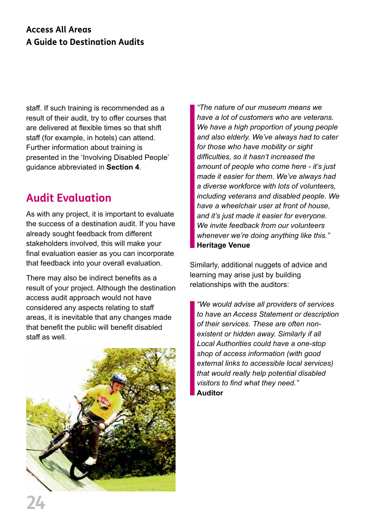#### **Access All Areas A Guide to Destination Audits**

staff. If such training is recommended as a result of their audit, try to offer courses that are delivered at flexible times so that shift staff (for example, in hotels) can attend. Further information about training is presented in the 'Involving Disabled People' guidance abbreviated in **Section 4**.

#### **Audit Evaluation**

As with any project, it is important to evaluate the success of a destination audit. If you have already sought feedback from different stakeholders involved, this will make your final evaluation easier as you can incorporate that feedback into your overall evaluation.

There may also be indirect benefits as a result of your project. Although the destination access audit approach would not have considered any aspects relating to staff areas, it is inevitable that any changes made that benefit the public will benefit disabled staff as well.



*"The nature of our museum means we have a lot of customers who are veterans. We have a high proportion of young people and also elderly. We've always had to cater for those who have mobility or sight difficulties, so it hasn't increased the amount of people who come here - it's just made it easier for them. We've always had a diverse workforce with lots of volunteers, including veterans and disabled people. We have a wheelchair user at front of house, and it's just made it easier for everyone. We invite feedback from our volunteers whenever we're doing anything like this."* **Heritage Venue**

Similarly, additional nuggets of advice and learning may arise just by building relationships with the auditors:

*"We would advise all providers of services to have an Access Statement or description of their services. These are often nonexistent or hidden away. Similarly if all Local Authorities could have a one-stop shop of access information (with good external links to accessible local services) that would really help potential disabled visitors to find what they need."* **Auditor**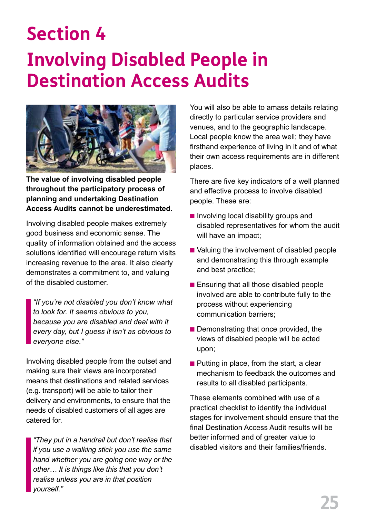## **Section 4 Involving Disabled People in Destination Access Audits**



**The value of involving disabled people throughout the participatory process of planning and undertaking Destination Access Audits cannot be underestimated.** 

Involving disabled people makes extremely good business and economic sense. The quality of information obtained and the access solutions identified will encourage return visits increasing revenue to the area. It also clearly demonstrates a commitment to, and valuing of the disabled customer.

*"If you're not disabled you don't know what to look for. It seems obvious to you, because you are disabled and deal with it every day, but I guess it isn't as obvious to everyone else."* 

Involving disabled people from the outset and making sure their views are incorporated means that destinations and related services (e.g. transport) will be able to tailor their delivery and environments, to ensure that the needs of disabled customers of all ages are catered for.

*"They put in a handrail but don't realise that if you use a walking stick you use the same hand whether you are going one way or the other… It is things like this that you don't realise unless you are in that position yourself."* 

You will also be able to amass details relating directly to particular service providers and venues, and to the geographic landscape. Local people know the area well; they have firsthand experience of living in it and of what their own access requirements are in different places.

There are five key indicators of a well planned and effective process to involve disabled people. These are:

- $\blacksquare$  Involving local disability groups and disabled representatives for whom the audit will have an impact;
- Valuing the involvement of disabled people and demonstrating this through example and best practice;
- $\blacksquare$  Ensuring that all those disabled people involved are able to contribute fully to the process without experiencing communication barriers;
- $\blacksquare$  Demonstrating that once provided, the views of disabled people will be acted upon;
- $\blacksquare$  Putting in place, from the start, a clear mechanism to feedback the outcomes and results to all disabled participants.

These elements combined with use of a practical checklist to identify the individual stages for involvement should ensure that the final Destination Access Audit results will be better informed and of greater value to disabled visitors and their families/friends.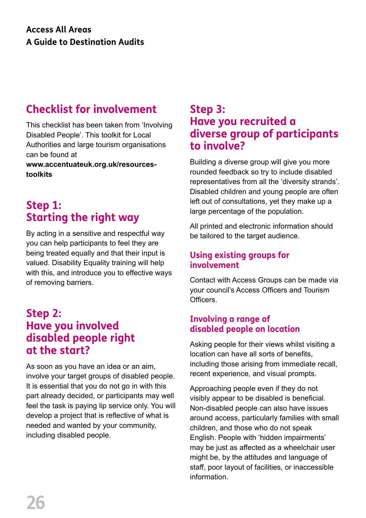#### **Checklist for involvement**

This checklist has been taken from 'Involving Disabled People'. This toolkit for Local Authorities and large tourism organisations can be found at

**www.accentuateuk.org.uk/resourcestoolkits** 

#### **Step 1: Starting the right way**

By acting in a sensitive and respectful way you can help participants to feel they are being treated equally and that their input is valued. Disability Equality training will help with this, and introduce you to effective ways of removing barriers.

#### **Step 2: Have you involved disabled people right at the start?**

As soon as you have an idea or an aim, involve your target groups of disabled people. It is essential that you do not go in with this part already decided, or participants may well feel the task is paying lip service only. You will develop a project that is reflective of what is needed and wanted by your community, including disabled people.

#### **Step 3: Have you recruited a diverse group of participants to involve?**

Building a diverse group will give you more rounded feedback so try to include disabled representatives from all the 'diversity strands'. Disabled children and young people are often left out of consultations, yet they make up a large percentage of the population.

All printed and electronic information should be tailored to the target audience.

#### **Using existing groups for involvement**

Contact with Access Groups can be made via your council's Access Officers and Tourism Officers.

#### **Involving a range of disabled people on location**

Asking people for their views whilst visiting a location can have all sorts of benefits, including those arising from immediate recall, recent experience, and visual prompts.

Approaching people even if they do not visibly appear to be disabled is beneficial. Non-disabled people can also have issues around access, particularly families with small children, and those who do not speak English. People with 'hidden impairments' may be just as affected as a wheelchair user might be, by the attitudes and language of staff, poor layout of facilities, or inaccessible information.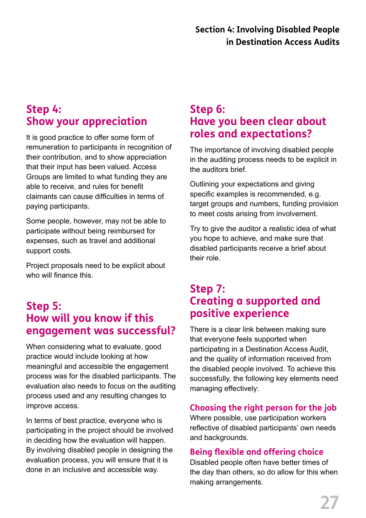#### **Step 4: Show your appreciation**

It is good practice to offer some form of remuneration to participants in recognition of their contribution, and to show appreciation that their input has been valued. Access Groups are limited to what funding they are able to receive, and rules for benefit claimants can cause difficulties in terms of paying participants.

Some people, however, may not be able to participate without being reimbursed for expenses, such as travel and additional support costs.

Project proposals need to be explicit about who will finance this.

#### **Step 5: How will you know if this engagement was successful?**

When considering what to evaluate, good practice would include looking at how meaningful and accessible the engagement process was for the disabled participants. The evaluation also needs to focus on the auditing process used and any resulting changes to improve access.

In terms of best practice, everyone who is participating in the project should be involved in deciding how the evaluation will happen. By involving disabled people in designing the evaluation process, you will ensure that it is done in an inclusive and accessible way.

#### **Step 6: Have you been clear about roles and expectations?**

The importance of involving disabled people in the auditing process needs to be explicit in the auditors brief.

Outlining your expectations and giving specific examples is recommended, e.g. target groups and numbers, funding provision to meet costs arising from involvement.

Try to give the auditor a realistic idea of what you hope to achieve, and make sure that disabled participants receive a brief about their role.

#### **Step 7: Creating a supported and positive experience**

There is a clear link between making sure that everyone feels supported when participating in a Destination Access Audit, and the quality of information received from the disabled people involved. To achieve this successfully, the following key elements need managing effectively:

#### **Choosing the right person for the job**

Where possible, use participation workers reflective of disabled participants' own needs and backgrounds.

#### **Being flexible and offering choice**

Disabled people often have better times of the day than others, so do allow for this when making arrangements.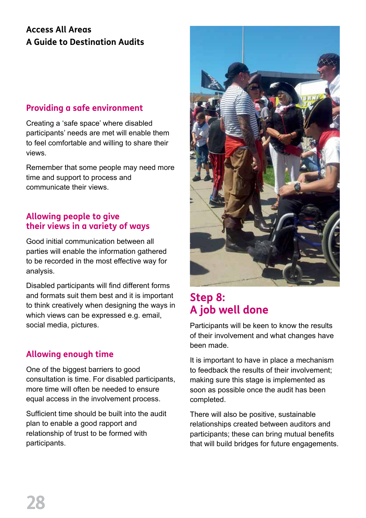#### **Access All Areas A Guide to Destination Audits**

#### **Providing a safe environment**

Creating a 'safe space' where disabled participants' needs are met will enable them to feel comfortable and willing to share their views.

Remember that some people may need more time and support to process and communicate their views.

#### **Allowing people to give their views in a variety of ways**

Good initial communication between all parties will enable the information gathered to be recorded in the most effective way for analysis.

Disabled participants will find different forms and formats suit them best and it is important to think creatively when designing the ways in which views can be expressed e.g. email, social media, pictures.

#### **Allowing enough time**

One of the biggest barriers to good consultation is time. For disabled participants, more time will often be needed to ensure equal access in the involvement process.

Sufficient time should be built into the audit plan to enable a good rapport and relationship of trust to be formed with participants.



#### **Step 8: A job well done**

Participants will be keen to know the results of their involvement and what changes have been made.

It is important to have in place a mechanism to feedback the results of their involvement; making sure this stage is implemented as soon as possible once the audit has been completed.

There will also be positive, sustainable relationships created between auditors and participants; these can bring mutual benefits that will build bridges for future engagements.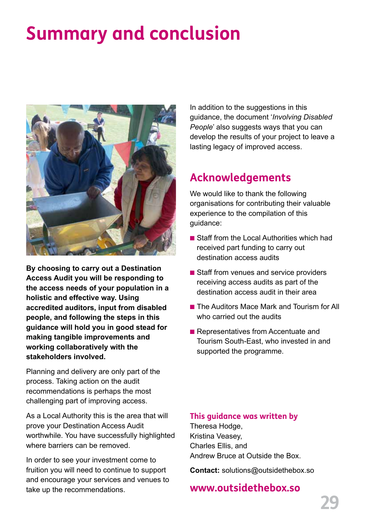## **Summary and conclusion**



**By choosing to carry out a Destination Access Audit you will be responding to the access needs of your population in a holistic and effective way. Using accredited auditors, input from disabled people, and following the steps in this guidance will hold you in good stead for making tangible improvements and working collaboratively with the stakeholders involved.** 

Planning and delivery are only part of the process. Taking action on the audit recommendations is perhaps the most challenging part of improving access.

As a Local Authority this is the area that will prove your Destination Access Audit worthwhile. You have successfully highlighted where barriers can be removed.

In order to see your investment come to fruition you will need to continue to support and encourage your services and venues to take up the recommendations.

In addition to the suggestions in this guidance, the document '*Involving Disabled People*' also suggests ways that you can develop the results of your project to leave a lasting legacy of improved access.

#### **Acknowledgements**

We would like to thank the following organisations for contributing their valuable experience to the compilation of this guidance:

- $\blacksquare$  Staff from the Local Authorities which had received part funding to carry out destination access audits
- $\blacksquare$  Staff from venues and service providers receiving access audits as part of the destination access audit in their area
- The Auditors Mace Mark and Tourism for All who carried out the audits
- **Representatives from Accentuate and** Tourism South-East, who invested in and supported the programme.

#### **This guidance was written by**

Theresa Hodge, Kristina Veasey, Charles Ellis, and Andrew Bruce at Outside the Box.

**Contact:** solutions@outsidethebox.so

#### **www.outsidethebox.so**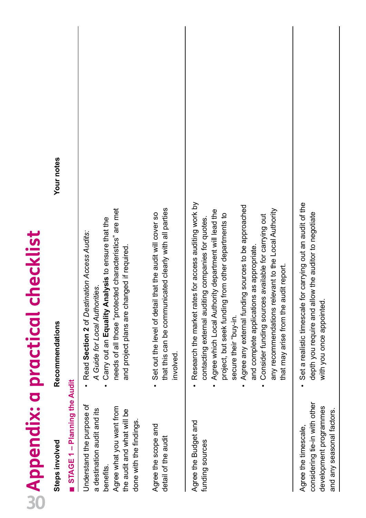| Steps involved                                                                                                                                           | Recommendations                                                                                                                                                                                                                                                                                                                                                                                                                                                                                                  | Your notes |
|----------------------------------------------------------------------------------------------------------------------------------------------------------|------------------------------------------------------------------------------------------------------------------------------------------------------------------------------------------------------------------------------------------------------------------------------------------------------------------------------------------------------------------------------------------------------------------------------------------------------------------------------------------------------------------|------------|
| STAGE 1 - Planning the Audit                                                                                                                             |                                                                                                                                                                                                                                                                                                                                                                                                                                                                                                                  |            |
| Understand the purpose of<br>Agree what you want from<br>a destination audit and its<br>the audit and what will be<br>done with the findings<br>benefits | needs of all those "protected characteristics" are met<br>Carry out an Equality Analysis to ensure that the<br>Read Section 2 of Destination Access Audits:<br>and project plans are changed if required.<br>A Guide for Local Authorities.                                                                                                                                                                                                                                                                      |            |
| Agree the scope and<br>detail of the audit                                                                                                               | that this can be communicated clearly with all parties<br>that the audit will cover so<br>• Set out the level of detail<br>involved.                                                                                                                                                                                                                                                                                                                                                                             |            |
| Agree the Budget and<br>funding sources                                                                                                                  | Research the market rates for access auditing work by<br>Agree any external funding sources to be approached<br>Agree which Local Authority department will lead the<br>any recommendations relevant to the Local Authority<br>from other departments to<br>Consider funding sources available for carrying out<br>contacting external auditing companies for quotes<br>and complete applications as appropriate.<br>that may arise from the audit report.<br>project, but seek funding<br>secure their "buy-in. |            |
| considering tie-in with other<br>development programmes<br>and any seasonal factors.<br>Agree the timescale,                                             | for carrying out an audit of the<br>low the auditor to negotiate<br>depth you require and al<br>with you once appointed<br>Set a realistic timescale                                                                                                                                                                                                                                                                                                                                                             |            |

**20** Appendix: a practical checklist

**Appendix: a practical checklist**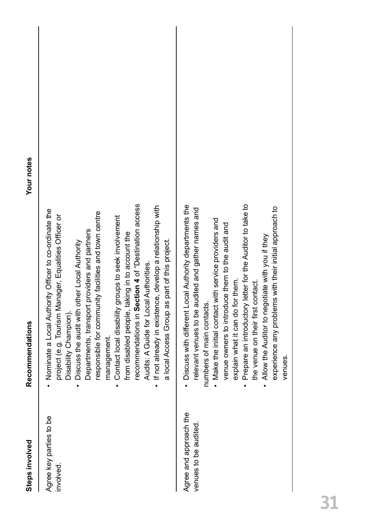| Steps involved                                 | Recommendations                                                                                                                                                                                                                                                                                                                                                                                                                                                                                                                                                                                                                                            | Your notes |
|------------------------------------------------|------------------------------------------------------------------------------------------------------------------------------------------------------------------------------------------------------------------------------------------------------------------------------------------------------------------------------------------------------------------------------------------------------------------------------------------------------------------------------------------------------------------------------------------------------------------------------------------------------------------------------------------------------------|------------|
| Agree key parties to be<br>involved.           | recommendations in Section 4 of "Destination access<br>If not already in existence, develop a relationship with<br>Nominate a Local Authority Officer to co-ordinate the<br>ty facilities and town centre<br>nager, Equalities Officer or<br>roups to seek involvement<br>Departments, transport providers and partners<br>from disabled people, taking in to account the<br>part of this project.<br>her Local Authority<br>Audits: A Guide for Local Authorities.<br>Discuss the audit with ot<br>a local Access Group as<br>Contact local disability gr<br>project (e.g. Tourism Mai<br>responsible for communi<br>Disability Champion).<br>management. |            |
| Agree and approach the<br>venues to be audited | letter for the Auditor to take to<br>• Discuss with different Local Authority departments the<br>experience any problems with their initial approach to<br>relevant venues to be audited and gather names and<br>. Make the initial contact with service providers and<br>venue owners to introduce them to the audit and<br>Allow the Auditor to negotiate with you if they<br>explain what it can do for them.<br>the venue on their first contact.<br>numbers of main contacts.<br>Prepare an introductory<br>venues.                                                                                                                                   |            |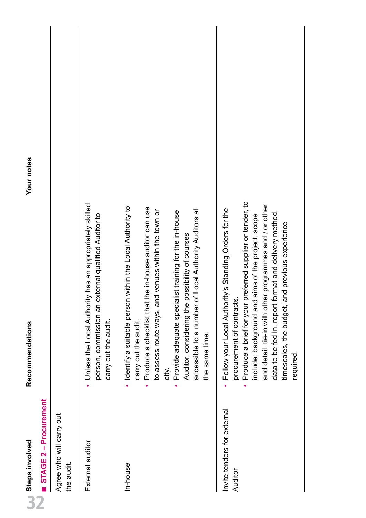| U Steps involved                       | Recommendations                                                                                                                                                                                                                                                                                                                                                                                     | Your notes |
|----------------------------------------|-----------------------------------------------------------------------------------------------------------------------------------------------------------------------------------------------------------------------------------------------------------------------------------------------------------------------------------------------------------------------------------------------------|------------|
| STAGE 2 - Procurement                  |                                                                                                                                                                                                                                                                                                                                                                                                     |            |
| Agree who will carry out<br>the audit. |                                                                                                                                                                                                                                                                                                                                                                                                     |            |
| External auditor                       | • Unless the Local Authority has an appropriately skilled<br>person, commission an external qualified Auditor to<br>carry out the audit.                                                                                                                                                                                                                                                            |            |
| In-house                               | within the Local Authority to<br>Produce a checklist that the in-house auditor can use<br>accessible to a number of Local Authority Auditors at<br>to assess route ways, and venues within the town or<br>Provide adequate specialist training for the in-house<br>Auditor, considering the possibility of courses<br>Identify a suitable person<br>carry out the audit.<br>the same time.<br>city. |            |
| Invite tenders for external<br>Auditor | Produce a brief for your preferred supplier or tender, to<br>and detail, tie-in with other programmes and / or other<br>Follow your Local Authority's Standing Orders for the<br>data to be fed in, report format and delivery method,<br>aims of the project, scope<br>timescales, the budget, and previous experience<br>procurement of contracts<br>include: background and<br>required.         |            |

Your notes

**W** Steps involved<br>N STAGE 2 – Pro

Recommendations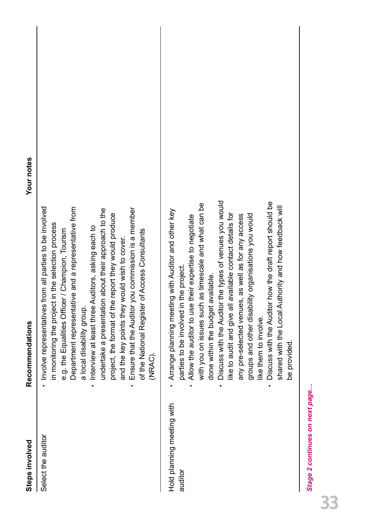| Steps involved                        | Recommendations                                                                                                                                                                                                                                                                                                                                                                                                                                                                                                                                                                                                                                              | Your notes |
|---------------------------------------|--------------------------------------------------------------------------------------------------------------------------------------------------------------------------------------------------------------------------------------------------------------------------------------------------------------------------------------------------------------------------------------------------------------------------------------------------------------------------------------------------------------------------------------------------------------------------------------------------------------------------------------------------------------|------------|
| Select the auditor                    | Involve representatives from all parties to be involved<br>Department representative and a representative from<br>Ensure that the Auditor you commission is a member<br>undertake a presentation about their approach to the<br>report they would produce<br>in monitoring the project in the selection process<br>Interview at least three Auditors, asking each to<br>e.g. the Equalities Officer / Champion, Tourism<br>of the National Register of Access Consultants<br>and the key points they would wish to cover.<br>project, the format of the<br>a local disability group.<br>(NRAC).                                                              |            |
| Hold planning meeting with<br>auditor | he types of venues you would<br>Discuss with the Auditor how the draft report should be<br>imescale and what can be<br>shared with the Local Authority and how feedback will<br>Arrange planning meeting with Auditor and other key<br>like to audit and give all available contact details for<br>groups and other disability organisations you would<br>as well as for any access<br>Allow the auditor to use their expertise to negotiate<br>parties to be involved in the project.<br>done within the budget available.<br>with you on issues such a<br>Discuss with the Auditor tl<br>any pre-selected venues,<br>like them to involve.<br>be provided. |            |

Stage 2 continues on next page... *Stage 2 continues on next page…*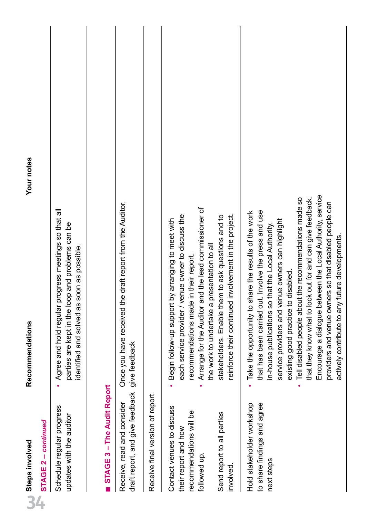| Steps involved                                                                                                                         | Recommendations                                                                                                                                                                                                                                                                                                                                                                                                                                                                                                                                                        | Your notes |
|----------------------------------------------------------------------------------------------------------------------------------------|------------------------------------------------------------------------------------------------------------------------------------------------------------------------------------------------------------------------------------------------------------------------------------------------------------------------------------------------------------------------------------------------------------------------------------------------------------------------------------------------------------------------------------------------------------------------|------------|
| - continued<br>$\overline{\mathbf{N}}$<br>STAGE                                                                                        |                                                                                                                                                                                                                                                                                                                                                                                                                                                                                                                                                                        |            |
| Schedule regular progress<br>updates with the auditor                                                                                  | Agree and hold regular progress meetings so that all<br>parties are kept in the loop and problems can be<br>identified and solved as soon as possible.                                                                                                                                                                                                                                                                                                                                                                                                                 |            |
| STAGE 3 - The Audit Report                                                                                                             |                                                                                                                                                                                                                                                                                                                                                                                                                                                                                                                                                                        |            |
| draft report, and give feedback<br>Receive, read and consider                                                                          | Once you have received the draft report from the Auditor,<br>give feedback                                                                                                                                                                                                                                                                                                                                                                                                                                                                                             |            |
| Receive final version of report.                                                                                                       |                                                                                                                                                                                                                                                                                                                                                                                                                                                                                                                                                                        |            |
| Contact venues to discuss<br>recommendations will be<br>Send report to all parties<br>their report and how<br>followed up<br>involved. | Arrange for the Auditor and the lead commissioner of<br>involvement in the project.<br>stakeholders. Enable them to ask questions and to<br>each service provider / venue owner to discuss the<br>Begin follow-up support by arranging to meet with<br>the work to undertake a presentation to all<br>in their report.<br>recommendations made<br>reinforce their continued                                                                                                                                                                                            |            |
| to share findings and agree<br>Hold stakeholder workshop<br>next steps                                                                 | Encourage a dialogue between the Local Authority, service<br>Tell disabled people about the recommendations made so<br>that they know what to look out for and can give feedback.<br>providers and venue owners so that disabled people can<br>that has been carried out. Involve the press and use<br>Take the opportunity to share the results of the work<br>service providers and venue owners can highlight<br>that the Local Authority,<br>future developments.<br>existing good practice to disabled.<br>in-house publications so<br>actively contribute to any |            |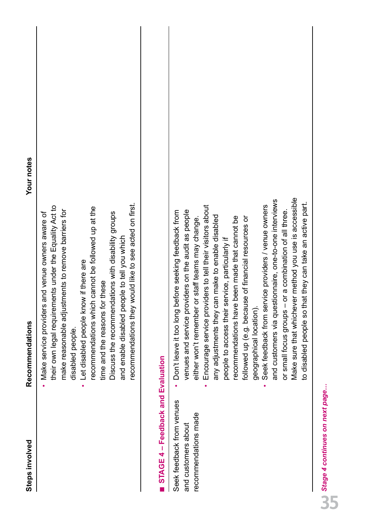|                                                                          | recommendations they would like to see acted on first.<br>ents under the Equality Act to<br>recommendations which cannot be followed up at the<br>make reasonable adjustments to remove barriers for<br>Discuss the recommendations with disability groups<br>and enable disabled people to tell you which<br>Let disabled people know if there are<br>time and the reasons for these<br>their own legal requirem<br>disabled people.                                                                                                                                                                                                                                                                                                                                           |
|--------------------------------------------------------------------------|---------------------------------------------------------------------------------------------------------------------------------------------------------------------------------------------------------------------------------------------------------------------------------------------------------------------------------------------------------------------------------------------------------------------------------------------------------------------------------------------------------------------------------------------------------------------------------------------------------------------------------------------------------------------------------------------------------------------------------------------------------------------------------|
| STAGE 4 - Feedback and Evaluation                                        |                                                                                                                                                                                                                                                                                                                                                                                                                                                                                                                                                                                                                                                                                                                                                                                 |
| Seek feedback from venues<br>recommendations made<br>and customers about | Make sure that whichever method you use is accessible<br>and customers via questionnaire, one-to-one interviews<br>to disabled people so that they can take an active part.<br>Encourage service providers to tell their visitors about<br>Seek feedback from service providers / venue owners<br>venues and service providers on the audit as people<br>Don't leave it too long before seeking feedback from<br>or a combination of all three.<br>any adjustments they can make to enable disabled<br>been made that cannot be<br>e of financial resources or<br>either won't remember or staff teams may change.<br>people to access their service, particularly if<br>followed up (e.g. becaus<br>or small focus groups -<br>recommendations have<br>geographical location). |

**Steps involved Recommendations Your notes**

**Recommendations** 

Steps involved

Your notes

**35** Stage 4 continues on next page... *Stage 4 continues on next page…*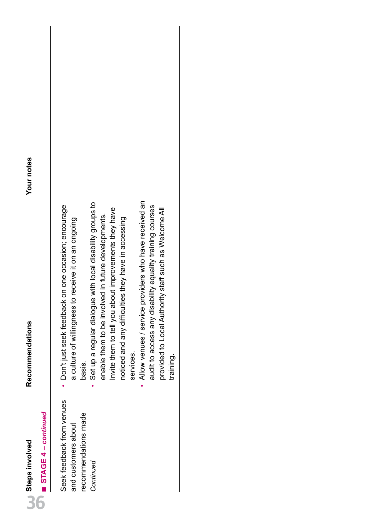| Ì<br>Steps invol              | Recommendations | Your notes |
|-------------------------------|-----------------|------------|
| ntinue<br>$5TAGE4 - cov$<br>٠ |                 |            |
|                               |                 |            |

# Recommendations

| Don't just seek feedback on one occasion; encourage | a culture of willingness to receive it on an ongoing | basis.               | Set up a regular dialogue with local disability groups to | enable them to be involved in future developments. | Invite them to tell you about improvements they have | noticed and any difficulties they have in accessing | services. | Allow venues / service providers who have received an | audit to access any disability equality training courses | provided to Local Authority staff such as Welcome All | training. |
|-----------------------------------------------------|------------------------------------------------------|----------------------|-----------------------------------------------------------|----------------------------------------------------|------------------------------------------------------|-----------------------------------------------------|-----------|-------------------------------------------------------|----------------------------------------------------------|-------------------------------------------------------|-----------|
| Seek feedback from venues                           | and customers about                                  | recommendations made | Continued                                                 |                                                    |                                                      |                                                     |           |                                                       |                                                          |                                                       |           |